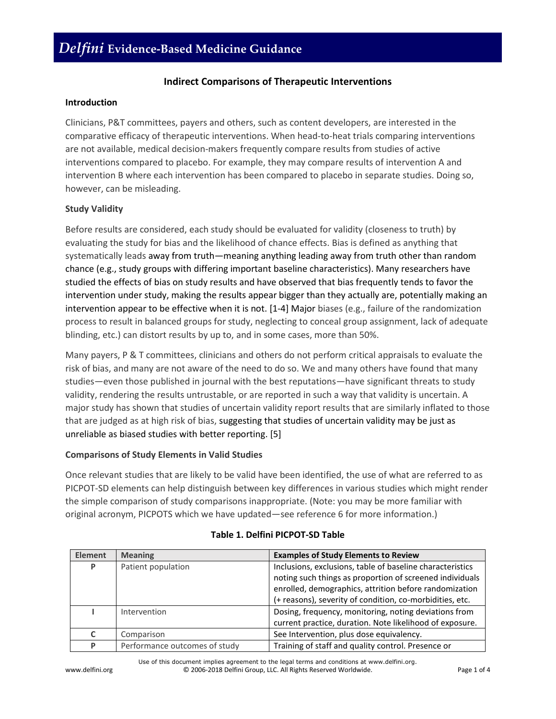## **Indirect Comparisons of Therapeutic Interventions**

### **Introduction**

Clinicians, P&T committees, payers and others, such as content developers, are interested in the comparative efficacy of therapeutic interventions. When head-to-heat trials comparing interventions are not available, medical decision-makers frequently compare results from studies of active interventions compared to placebo. For example, they may compare results of intervention A and intervention B where each intervention has been compared to placebo in separate studies. Doing so, however, can be misleading.

### **Study Validity**

Before results are considered, each study should be evaluated for validity (closeness to truth) by evaluating the study for bias and the likelihood of chance effects. Bias is defined as anything that systematically leads away from truth—meaning anything leading away from truth other than random chance (e.g., study groups with differing important baseline characteristics). Many researchers have studied the effects of bias on study results and have observed that bias frequently tends to favor the intervention under study, making the results appear bigger than they actually are, potentially making an intervention appear to be effective when it is not. [1-4] Major biases (e.g., failure of the randomization process to result in balanced groups for study, neglecting to conceal group assignment, lack of adequate blinding, etc.) can distort results by up to, and in some cases, more than 50%.

Many payers, P & T committees, clinicians and others do not perform critical appraisals to evaluate the risk of bias, and many are not aware of the need to do so. We and many others have found that many studies—even those published in journal with the best reputations—have significant threats to study validity, rendering the results untrustable, or are reported in such a way that validity is uncertain. A major study has shown that studies of uncertain validity report results that are similarly inflated to those that are judged as at high risk of bias, suggesting that studies of uncertain validity may be just as unreliable as biased studies with better reporting. [5]

### **Comparisons of Study Elements in Valid Studies**

Once relevant studies that are likely to be valid have been identified, the use of what are referred to as PICPOT-SD elements can help distinguish between key differences in various studies which might render the simple comparison of study comparisons inappropriate. (Note: you may be more familiar with original acronym, PICPOTS which we have updated—see reference 6 for more information.)

| <b>Element</b> | <b>Meaning</b>                | <b>Examples of Study Elements to Review</b>               |
|----------------|-------------------------------|-----------------------------------------------------------|
| P              | Patient population            | Inclusions, exclusions, table of baseline characteristics |
|                |                               | noting such things as proportion of screened individuals  |
|                |                               | enrolled, demographics, attrition before randomization    |
|                |                               | (+ reasons), severity of condition, co-morbidities, etc.  |
|                | Intervention                  | Dosing, frequency, monitoring, noting deviations from     |
|                |                               | current practice, duration. Note likelihood of exposure.  |
| C              | Comparison                    | See Intervention, plus dose equivalency.                  |
| P              | Performance outcomes of study | Training of staff and quality control. Presence or        |

|  |  | Table 1. Delfini PICPOT-SD Table |  |  |  |
|--|--|----------------------------------|--|--|--|
|--|--|----------------------------------|--|--|--|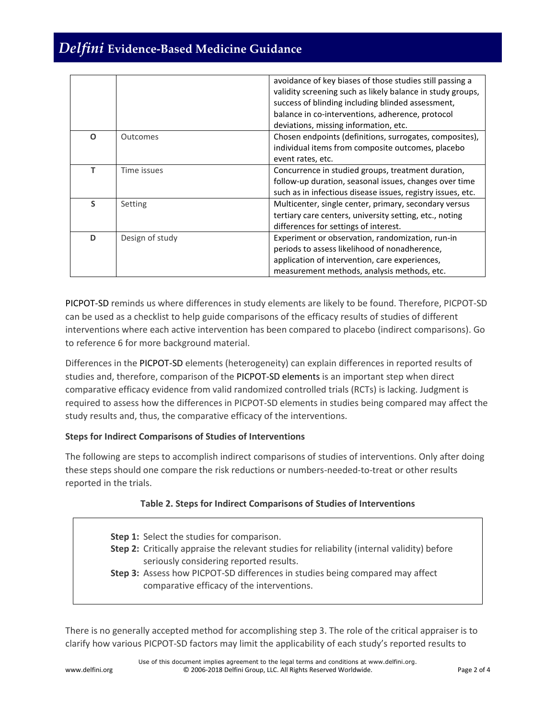# *Delfini* **Evidence-Based Medicine Guidance**

|   |                 | avoidance of key biases of those studies still passing a<br>validity screening such as likely balance in study groups,<br>success of blinding including blinded assessment,<br>balance in co-interventions, adherence, protocol<br>deviations, missing information, etc. |
|---|-----------------|--------------------------------------------------------------------------------------------------------------------------------------------------------------------------------------------------------------------------------------------------------------------------|
| O | Outcomes        | Chosen endpoints (definitions, surrogates, composites),<br>individual items from composite outcomes, placebo                                                                                                                                                             |
|   |                 | event rates, etc.                                                                                                                                                                                                                                                        |
|   | Time issues     | Concurrence in studied groups, treatment duration,                                                                                                                                                                                                                       |
|   |                 | follow-up duration, seasonal issues, changes over time                                                                                                                                                                                                                   |
|   |                 | such as in infectious disease issues, registry issues, etc.                                                                                                                                                                                                              |
| S | Setting         | Multicenter, single center, primary, secondary versus                                                                                                                                                                                                                    |
|   |                 | tertiary care centers, university setting, etc., noting                                                                                                                                                                                                                  |
|   |                 | differences for settings of interest.                                                                                                                                                                                                                                    |
| D | Design of study | Experiment or observation, randomization, run-in                                                                                                                                                                                                                         |
|   |                 | periods to assess likelihood of nonadherence,                                                                                                                                                                                                                            |
|   |                 | application of intervention, care experiences,                                                                                                                                                                                                                           |
|   |                 | measurement methods, analysis methods, etc.                                                                                                                                                                                                                              |

PICPOT-SD reminds us where differences in study elements are likely to be found. Therefore, PICPOT-SD can be used as a checklist to help guide comparisons of the efficacy results of studies of different interventions where each active intervention has been compared to placebo (indirect comparisons). Go to reference 6 for more background material.

Differences in the PICPOT-SD elements (heterogeneity) can explain differences in reported results of studies and, therefore, comparison of the PICPOT-SD elements is an important step when direct comparative efficacy evidence from valid randomized controlled trials (RCTs) is lacking. Judgment is required to assess how the differences in PICPOT-SD elements in studies being compared may affect the study results and, thus, the comparative efficacy of the interventions.

### **Steps for Indirect Comparisons of Studies of Interventions**

The following are steps to accomplish indirect comparisons of studies of interventions. Only after doing these steps should one compare the risk reductions or numbers-needed-to-treat or other results reported in the trials.

### **Table 2. Steps for Indirect Comparisons of Studies of Interventions**

| Step 1: Select the studies for comparison.                                                  |
|---------------------------------------------------------------------------------------------|
| Step 2: Critically appraise the relevant studies for reliability (internal validity) before |
| seriously considering reported results.                                                     |
| Step 3: Assess how PICPOT-SD differences in studies being compared may affect               |
| comparative efficacy of the interventions.                                                  |
|                                                                                             |

There is no generally accepted method for accomplishing step 3. The role of the critical appraiser is to clarify how various PICPOT-SD factors may limit the applicability of each study's reported results to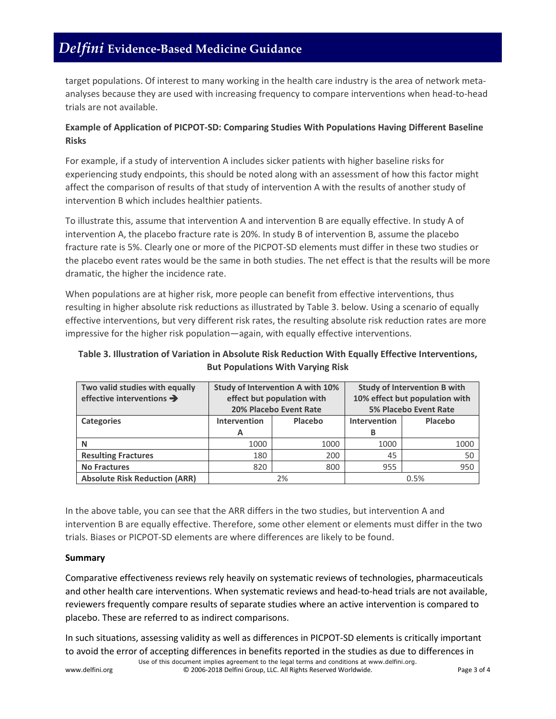# *Delfini* **Evidence-Based Medicine Guidance**

target populations. Of interest to many working in the health care industry is the area of network metaanalyses because they are used with increasing frequency to compare interventions when head-to-head trials are not available.

## **Example of Application of PICPOT-SD: Comparing Studies With Populations Having Different Baseline Risks**

For example, if a study of intervention A includes sicker patients with higher baseline risks for experiencing study endpoints, this should be noted along with an assessment of how this factor might affect the comparison of results of that study of intervention A with the results of another study of intervention B which includes healthier patients.

To illustrate this, assume that intervention A and intervention B are equally effective. In study A of intervention A, the placebo fracture rate is 20%. In study B of intervention B, assume the placebo fracture rate is 5%. Clearly one or more of the PICPOT-SD elements must differ in these two studies or the placebo event rates would be the same in both studies. The net effect is that the results will be more dramatic, the higher the incidence rate.

When populations are at higher risk, more people can benefit from effective interventions, thus resulting in higher absolute risk reductions as illustrated by Table 3. below. Using a scenario of equally effective interventions, but very different risk rates, the resulting absolute risk reduction rates are more impressive for the higher risk population—again, with equally effective interventions.

## **Table 3. Illustration of Variation in Absolute Risk Reduction With Equally Effective Interventions, But Populations With Varying Risk**

| Two valid studies with equally<br>effective interventions $\rightarrow$ | <b>Study of Intervention A with 10%</b><br>effect but population with<br>20% Placebo Event Rate |         | <b>Study of Intervention B with</b><br>10% effect but population with<br><b>5% Placebo Event Rate</b> |         |
|-------------------------------------------------------------------------|-------------------------------------------------------------------------------------------------|---------|-------------------------------------------------------------------------------------------------------|---------|
| <b>Categories</b>                                                       | <b>Intervention</b>                                                                             | Placebo | <b>Intervention</b>                                                                                   | Placebo |
|                                                                         | A                                                                                               |         | в                                                                                                     |         |
| N                                                                       | 1000                                                                                            | 1000    | 1000                                                                                                  | 1000    |
| <b>Resulting Fractures</b>                                              | 180                                                                                             | 200     | 45                                                                                                    | 50      |
| <b>No Fractures</b>                                                     | 820                                                                                             | 800     | 955                                                                                                   | 950     |
| <b>Absolute Risk Reduction (ARR)</b>                                    | 2%                                                                                              |         | 0.5%                                                                                                  |         |

In the above table, you can see that the ARR differs in the two studies, but intervention A and intervention B are equally effective. Therefore, some other element or elements must differ in the two trials. Biases or PICPOT-SD elements are where differences are likely to be found.

### **Summary**

Comparative effectiveness reviews rely heavily on systematic reviews of technologies, pharmaceuticals and other health care interventions. When systematic reviews and head-to-head trials are not available, reviewers frequently compare results of separate studies where an active intervention is compared to placebo. These are referred to as indirect comparisons.

In such situations, assessing validity as well as differences in PICPOT-SD elements is critically important to avoid the error of accepting differences in benefits reported in the studies as due to differences in